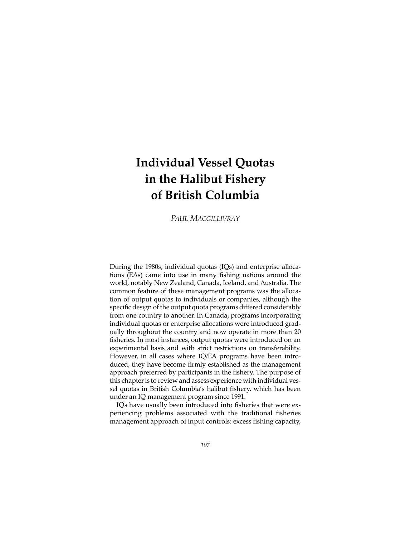# **Individual Vessel Quotas in the Halibut Fishery of British Columbia**

*PAUL MACGILLIVRAY*

During the 1980s, individual quotas (IQs) and enterprise allocations (EAs) came into use in many fishing nations around the world, notably New Zealand, Canada, Iceland, and Australia. The common feature of these management programs was the allocation of output quotas to individuals or companies, although the specific design of the output quota programs differed considerably from one country to another. In Canada, programs incorporating individual quotas or enterprise allocations were introduced gradually throughout the country and now operate in more than 20 fisheries. In most instances, output quotas were introduced on an experimental basis and with strict restrictions on transferability. However, in all cases where IQ/EA programs have been introduced, they have become firmly established as the management approach preferred by participants in the fishery. The purpose of this chapter is to review and assess experience with individual vessel quotas in British Columbia's halibut fishery, which has been under an IQ management program since 1991.

IQs have usually been introduced into fisheries that were experiencing problems associated with the traditional fisheries management approach of input controls: excess fishing capacity,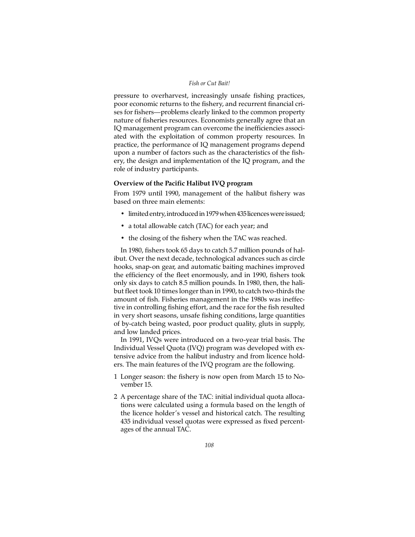## *Fish or Cut Bait!*

pressure to overharvest, increasingly unsafe fishing practices, poor economic returns to the fishery, and recurrent financial crises for fishers—problems clearly linked to the common property nature of fisheries resources. Economists generally agree that an IQ management program can overcome the inefficiencies associated with the exploitation of common property resources. In practice, the performance of IQ management programs depend upon a number of factors such as the characteristics of the fishery, the design and implementation of the IQ program, and the role of industry participants.

## **Overview of the Pacific Halibut IVQ program**

From 1979 until 1990, management of the halibut fishery was based on three main elements:

- limited entry, introduced in 1979 when 435 licences were issued;
- a total allowable catch (TAC) for each year; and
- the closing of the fishery when the TAC was reached.

In 1980, fishers took 65 days to catch 5.7 million pounds of halibut. Over the next decade, technological advances such as circle hooks, snap-on gear, and automatic baiting machines improved the efficiency of the fleet enormously, and in 1990, fishers took only six days to catch 8.5 million pounds. In 1980, then, the halibut fleet took 10 times longer than in 1990, to catch two-thirds the amount of fish. Fisheries management in the 1980s was ineffective in controlling fishing effort, and the race for the fish resulted in very short seasons, unsafe fishing conditions, large quantities of by-catch being wasted, poor product quality, gluts in supply, and low landed prices.

In 1991, IVQs were introduced on a two-year trial basis. The Individual Vessel Quota (IVQ) program was developed with extensive advice from the halibut industry and from licence holders. The main features of the IVQ program are the following.

- 1 Longer season: the fishery is now open from March 15 to November 15.
- 2 A percentage share of the TAC: initial individual quota allocations were calculated using a formula based on the length of the licence holder's vessel and historical catch. The resulting 435 individual vessel quotas were expressed as fixed percentages of the annual TAC.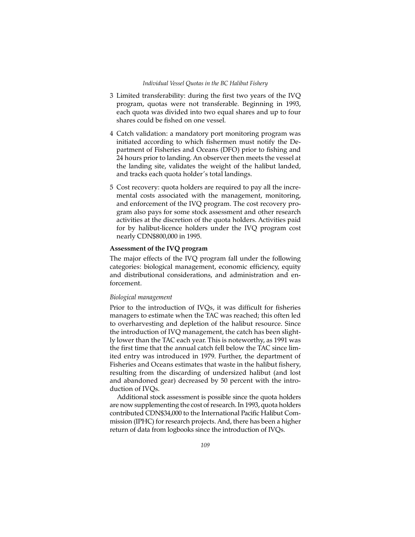- 3 Limited transferability: during the first two years of the IVQ program, quotas were not transferable. Beginning in 1993, each quota was divided into two equal shares and up to four shares could be fished on one vessel.
- 4 Catch validation: a mandatory port monitoring program was initiated according to which fishermen must notify the Department of Fisheries and Oceans (DFO) prior to fishing and 24 hours prior to landing. An observer then meets the vessel at the landing site, validates the weight of the halibut landed, and tracks each quota holder's total landings.
- 5 Cost recovery: quota holders are required to pay all the incremental costs associated with the management, monitoring, and enforcement of the IVQ program. The cost recovery program also pays for some stock assessment and other research activities at the discretion of the quota holders. Activities paid for by halibut-licence holders under the IVQ program cost nearly CDN\$800,000 in 1995.

# **Assessment of the IVQ program**

The major effects of the IVQ program fall under the following categories: biological management, economic efficiency, equity and distributional considerations, and administration and enforcement.

## *Biological management*

Prior to the introduction of IVQs, it was difficult for fisheries managers to estimate when the TAC was reached; this often led to overharvesting and depletion of the halibut resource. Since the introduction of IVQ management, the catch has been slightly lower than the TAC each year. This is noteworthy, as 1991 was the first time that the annual catch fell below the TAC since limited entry was introduced in 1979. Further, the department of Fisheries and Oceans estimates that waste in the halibut fishery, resulting from the discarding of undersized halibut (and lost and abandoned gear) decreased by 50 percent with the introduction of IVQs.

Additional stock assessment is possible since the quota holders are now supplementing the cost of research. In 1993, quota holders contributed CDN\$34,000 to the International Pacific Halibut Commission (IPHC) for research projects. And, there has been a higher return of data from logbooks since the introduction of IVQs.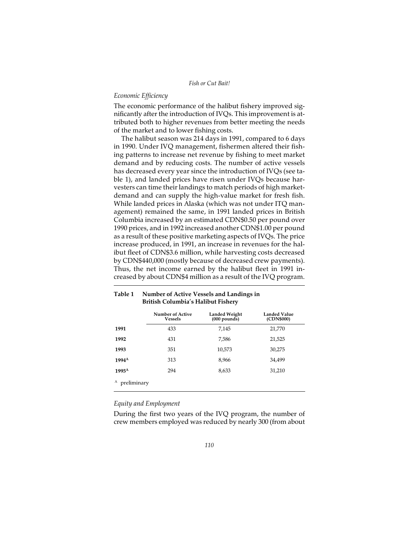#### *Economic Efficiency*

The economic performance of the halibut fishery improved significantly after the introduction of IVQs. This improvement is attributed both to higher revenues from better meeting the needs of the market and to lower fishing costs.

The halibut season was 214 days in 1991, compared to 6 days in 1990. Under IVQ management, fishermen altered their fishing patterns to increase net revenue by fishing to meet market demand and by reducing costs. The number of active vessels has decreased every year since the introduction of IVQs (see table 1), and landed prices have risen under IVQs because harvesters can time their landings to match periods of high marketdemand and can supply the high-value market for fresh fish. While landed prices in Alaska (which was not under ITQ management) remained the same, in 1991 landed prices in British Columbia increased by an estimated CDN\$0.50 per pound over 1990 prices, and in 1992 increased another CDN\$1.00 per pound as a result of these positive marketing aspects of IVQs. The price increase produced, in 1991, an increase in revenues for the halibut fleet of CDN\$3.6 million, while harvesting costs decreased by CDN\$440,000 (mostly because of decreased crew payments). Thus, the net income earned by the halibut fleet in 1991 increased by about CDN\$4 million as a result of the IVQ program.

|                   | <b>Number of Active</b><br><b>Vessels</b> | <b>Landed Weight</b><br>$(000$ pounds) | Landed Value<br>(CDN\$000) |
|-------------------|-------------------------------------------|----------------------------------------|----------------------------|
| 1991              | 433                                       | 7,145                                  | 21,770                     |
| 1992              | 431                                       | 7,586                                  | 21,525                     |
| 1993              | 351                                       | 10,573                                 | 30,275                     |
| $1994^A$          | 313                                       | 8,966                                  | 34,499                     |
| $1995^{\text{A}}$ | 294                                       | 8,633                                  | 31,210                     |
| preliminary       |                                           |                                        |                            |

#### **Table 1 Number of Active Vessels and Landings in British Columbia's Halibut Fishery**

#### *Equity and Employment*

During the first two years of the IVQ program, the number of crew members employed was reduced by nearly 300 (from about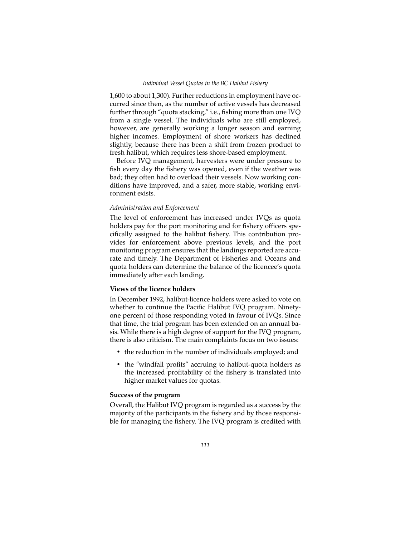1,600 to about 1,300). Further reductions in employment have occurred since then, as the number of active vessels has decreased further through "quota stacking," i.e., fishing more than one IVQ from a single vessel. The individuals who are still employed, however, are generally working a longer season and earning higher incomes. Employment of shore workers has declined slightly, because there has been a shift from frozen product to fresh halibut, which requires less shore-based employment.

Before IVQ management, harvesters were under pressure to fish every day the fishery was opened, even if the weather was bad; they often had to overload their vessels. Now working conditions have improved, and a safer, more stable, working environment exists.

# *Administration and Enforcement*

The level of enforcement has increased under IVQs as quota holders pay for the port monitoring and for fishery officers specifically assigned to the halibut fishery. This contribution provides for enforcement above previous levels, and the port monitoring program ensures that the landings reported are accurate and timely. The Department of Fisheries and Oceans and quota holders can determine the balance of the licencee's quota immediately after each landing.

# **Views of the licence holders**

In December 1992, halibut-licence holders were asked to vote on whether to continue the Pacific Halibut IVQ program. Ninetyone percent of those responding voted in favour of IVQs. Since that time, the trial program has been extended on an annual basis. While there is a high degree of support for the IVQ program, there is also criticism. The main complaints focus on two issues:

- the reduction in the number of individuals employed; and
- the "windfall profits" accruing to halibut-quota holders as the increased profitability of the fishery is translated into higher market values for quotas.

## **Success of the program**

Overall, the Halibut IVQ program is regarded as a success by the majority of the participants in the fishery and by those responsible for managing the fishery. The IVQ program is credited with